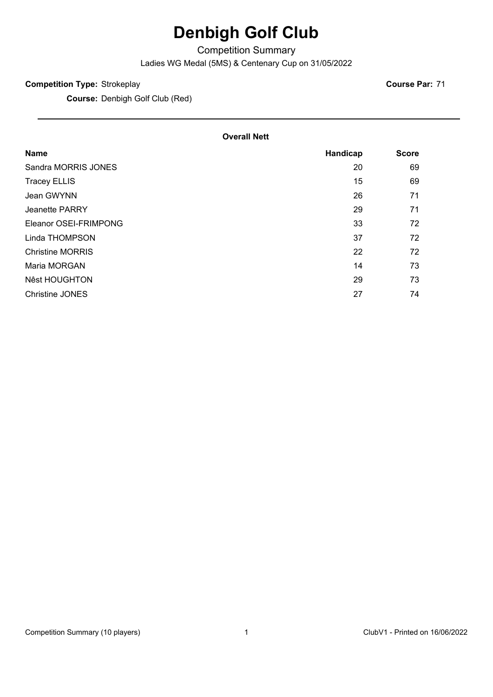# **Denbigh Golf Club**

Competition Summary

Ladies WG Medal (5MS) & Centenary Cup on 31/05/2022

#### **Competition Type:** Strokeplay

**Course:** Denbigh Golf Club (Red)

**Course Par:** 71

#### **Overall Nett**

| <b>Name</b>             | Handicap | <b>Score</b> |
|-------------------------|----------|--------------|
| Sandra MORRIS JONES     | 20       | 69           |
| <b>Tracey ELLIS</b>     | 15       | 69           |
| Jean GWYNN              | 26       | 71           |
| Jeanette PARRY          | 29       | 71           |
| Eleanor OSEI-FRIMPONG   | 33       | 72           |
| Linda THOMPSON          | 37       | 72           |
| <b>Christine MORRIS</b> | 22       | 72           |
| Maria MORGAN            | 14       | 73           |
| <b>Nêst HOUGHTON</b>    | 29       | 73           |
| Christine JONES         | 27       | 74           |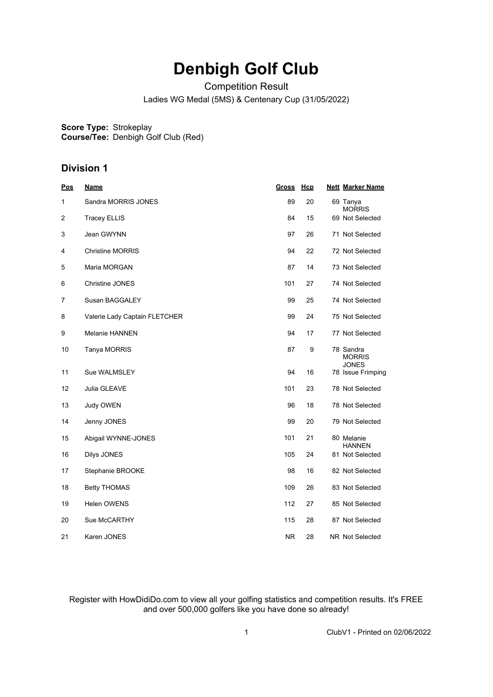## **Denbigh Golf Club**

Competition Result

Ladies WG Medal (5MS) & Centenary Cup (31/05/2022)

**Score Type:** Strokeplay

**Course/Tee:** Denbigh Golf Club (Red)

### **Division 1**

| Pos | <b>Name</b>                   | <b>Gross</b> | Hcp | <b>Nett Marker Name</b>                    |
|-----|-------------------------------|--------------|-----|--------------------------------------------|
| 1   | Sandra MORRIS JONES           | 89           | 20  | 69 Tanya<br><b>MORRIS</b>                  |
| 2   | <b>Tracey ELLIS</b>           | 84           | 15  | 69 Not Selected                            |
| 3   | Jean GWYNN                    | 97           | 26  | 71 Not Selected                            |
| 4   | <b>Christine MORRIS</b>       | 94           | 22  | 72 Not Selected                            |
| 5   | Maria MORGAN                  | 87           | 14  | 73 Not Selected                            |
| 6   | Christine JONES               | 101          | 27  | 74 Not Selected                            |
| 7   | Susan BAGGALEY                | 99           | 25  | 74 Not Selected                            |
| 8   | Valerie Lady Captain FLETCHER | 99           | 24  | 75 Not Selected                            |
| 9   | Melanie HANNEN                | 94           | 17  | 77 Not Selected                            |
| 10  | Tanya MORRIS                  | 87           | 9   | 78 Sandra<br><b>MORRIS</b><br><b>JONES</b> |
| 11  | Sue WALMSLEY                  | 94           | 16  | 78 Issue Frimping                          |
| 12  | Julia GLEAVE                  | 101          | 23  | 78 Not Selected                            |
| 13  | Judy OWEN                     | 96           | 18  | 78 Not Selected                            |
| 14  | Jenny JONES                   | 99           | 20  | 79 Not Selected                            |
| 15  | Abigail WYNNE-JONES           | 101          | 21  | 80 Melanie<br><b>HANNEN</b>                |
| 16  | Dilys JONES                   | 105          | 24  | 81 Not Selected                            |
| 17  | Stephanie BROOKE              | 98           | 16  | 82 Not Selected                            |
| 18  | <b>Betty THOMAS</b>           | 109          | 26  | 83 Not Selected                            |
| 19  | Helen OWENS                   | 112          | 27  | 85 Not Selected                            |
| 20  | Sue McCARTHY                  | 115          | 28  | 87 Not Selected                            |
| 21  | Karen JONES                   | <b>NR</b>    | 28  | NR Not Selected                            |

Register with HowDidiDo.com to view all your golfing statistics and competition results. It's FREE and over 500,000 golfers like you have done so already!